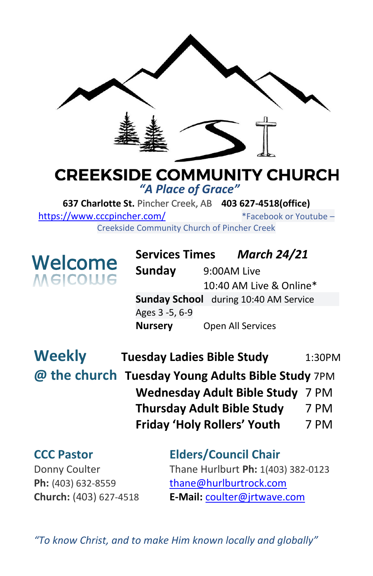

## **CREEKSIDE COMMUNITY CHURCH** *"A Place of Grace"*

**637 Charlotte St.** Pincher Creek, AB **403 627-4518(office)**  <https://www.cccpincher.com/>\*Facebook or Youtube – Creekside Community Church of Pincher Creek

**Welcome**<br>Melcolue

**Services Times** *March 24/21* **Sunday** 9:00AM Live 10:40 AM Live & Online\* **Sunday School** during 10:40 AM Service Ages 3 -5, 6-9 **Nursery** Open All Services

| <b>Weekly</b> | <b>Tuesday Ladies Bible Study</b>  | 1:30PM                                            |  |  |
|---------------|------------------------------------|---------------------------------------------------|--|--|
|               |                                    | @ the church Tuesday Young Adults Bible Study 7PM |  |  |
|               | Wednesday Adult Bible Study 7 PM   |                                                   |  |  |
|               | <b>Thursday Adult Bible Study</b>  | 7 PM                                              |  |  |
|               | <b>Friday 'Holy Rollers' Youth</b> | 7 PM                                              |  |  |

**CCC Pastor Elders/Council Chair** Donny Coulter Thane Hurlburt **Ph:** 1(403) 382-0123 Ph: (403) 632-8559 [thane@hurlburtrock.com](mailto:thane@hurlburtrock.com) **Church:** (403) 627-4518 **E-Mail:** [coulter@jrtwave.com](mailto:coulter@jrtwave.com)

*"To know Christ, and to make Him known locally and globally"*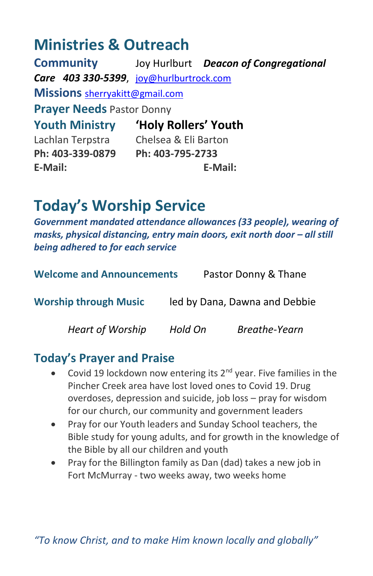# **Ministries & Outreach**

**Community** Joy Hurlburt *Deacon of Congregational Care 403 330-5399*, [joy@hurlburtrock.com](mailto:joy@hurlburtrock.com) **Missions** [sherryakitt@gmail.com](mailto:sherryakitt@gmail.com) **Prayer Needs** Pastor Donny **Youth Ministry 'Holy Rollers' Youth** Lachlan Terpstra Chelsea & Eli Barton **Ph: 403-339-0879 Ph: 403-795-2733 E-Mail: E-Mail:**

# **Today's Worship Service**

*Government mandated attendance allowances (33 people), wearing of masks, physical distancina, entry main doors, exit north door – all still being adhered to for each service*

| <b>Welcome and Announcements</b> |         | Pastor Donny & Thane          |  |  |
|----------------------------------|---------|-------------------------------|--|--|
| <b>Worship through Music</b>     |         | led by Dana, Dawna and Debbie |  |  |
| <b>Heart of Worship</b>          | Hold On | Breathe-Yearn                 |  |  |

# **Today's Prayer and Praise**

- Covid 19 lockdown now entering its  $2^{nd}$  year. Five families in the Pincher Creek area have lost loved ones to Covid 19. Drug overdoses, depression and suicide, job loss – pray for wisdom for our church, our community and government leaders
- Pray for our Youth leaders and Sunday School teachers, the Bible study for young adults, and for growth in the knowledge of the Bible by all our children and youth
- Pray for the Billington family as Dan (dad) takes a new job in Fort McMurray - two weeks away, two weeks home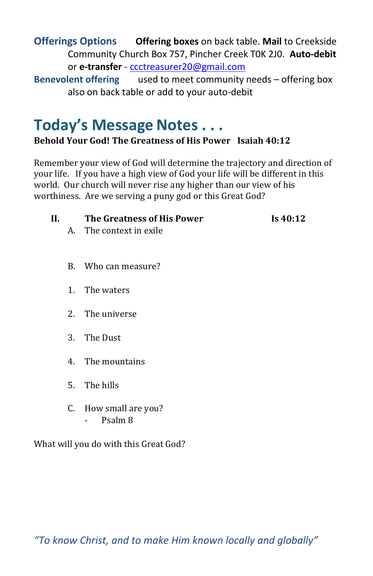**Offerings Options Offering boxes** on back table. **Mail** to Creekside Community Church Box 757, Pincher Creek T0K 2J0. **Auto-debit** or **e-transfer** - [ccctreasurer20@gmail.com](mailto:ccctreasurer20@gmail.com)

**Benevolent offering** used to meet community needs – offering box also on back table or add to your auto-debit

# **Today's Message Notes . . .**

#### **Behold Your God! The Greatness of His Power Isaiah 40:12**

Remember your view of God will determine the trajectory and direction of your life. If you have a high view of God your life will be different in this world. Our church will never rise any higher than our view of his worthiness. Are we serving a puny god or this Great God?

| H. | The Greatness of His Power | Is $40:12$ |
|----|----------------------------|------------|
|    | A. The context in exile    |            |
|    |                            |            |

- B. Who can measure?
- 1. The waters
- 2. The universe
- 3. The Dust
- 4. The mountains
- 5. The hills
- C. How small are you? - Psalm 8

What will you do with this Great God?

*"To know Christ, and to make Him known locally and globally"*